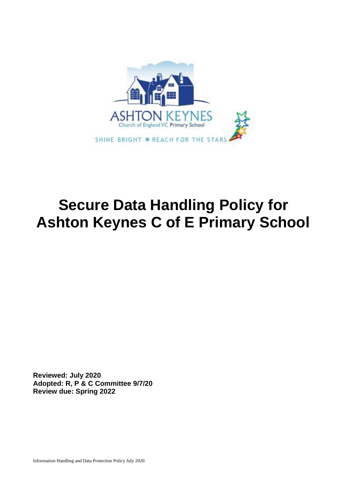

# **Secure Data Handling Policy for Ashton Keynes C of E Primary School**

**Reviewed: July 2020 Adopted: R, P & C Committee 9/7/20 Review due: Spring 2022**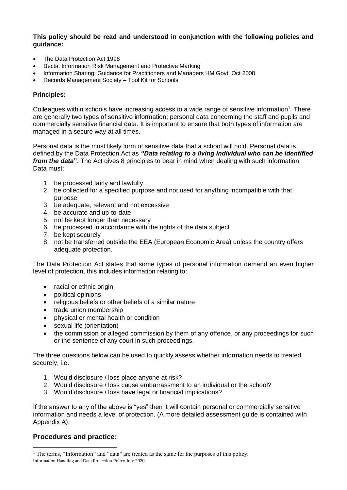**This policy should be read and understood in conjunction with the following policies and guidance:**

- The Data Protection Act 1998
- Becta: Information Risk Management and Protective Marking
- Information Sharing: Guidance for Practitioners and Managers HM Govt. Oct 2008
- Records Management Society Tool Kit for Schools

#### **Principles:**

Colleagues within schools have increasing access to a wide range of sensitive information<sup>1</sup>. There are generally two types of sensitive information; personal data concerning the staff and pupils and commercially sensitive financial data. It is important to ensure that both types of information are managed in a secure way at all times.

Personal data is the most likely form of sensitive data that a school will hold. Personal data is defined by the Data Protection Act as *"Data relating to a living individual who can be identified from the data***".** The Act gives 8 principles to bear in mind when dealing with such information. Data must:

- 1. be processed fairly and lawfully
- 2. be collected for a specified purpose and not used for anything incompatible with that purpose
- 3. be adequate, relevant and not excessive
- 4. be accurate and up-to-date
- 5. not be kept longer than necessary
- 6. be processed in accordance with the rights of the data subject
- 7. be kept securely
- 8. not be transferred outside the EEA (European Economic Area) unless the country offers adequate protection.

The Data Protection Act states that some types of personal information demand an even higher level of protection, this includes information relating to:

- racial or ethnic origin
- political opinions
- religious beliefs or other beliefs of a similar nature
- trade union membership
- physical or mental health or condition
- sexual life (orientation)
- the commission or alleged commission by them of any offence, or any proceedings for such or the sentence of any court in such proceedings.

The three questions below can be used to quickly assess whether information needs to treated securely, i.e.

- 1. Would disclosure / loss place anyone at risk?
- 2. Would disclosure / loss cause embarrassment to an individual or the school?
- 3. Would disclosure / loss have legal or financial implications?

If the answer to any of the above is "yes" then it will contain personal or commercially sensitive information and needs a level of protection. (A more detailed assessment guide is contained with Appendix A).

### **Procedures and practice:**

Information Handling and Data Protection Policy July 2020 <sup>1</sup> The terms, "Information" and "data" are treated as the same for the purposes of this policy.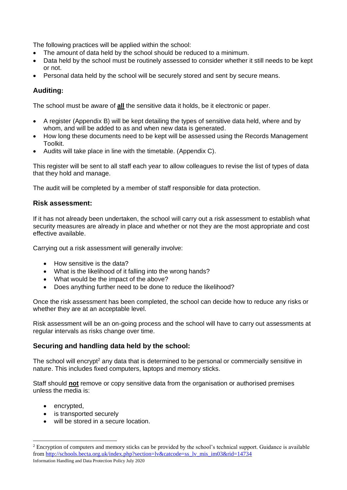The following practices will be applied within the school:

- The amount of data held by the school should be reduced to a minimum.
- Data held by the school must be routinely assessed to consider whether it still needs to be kept or not.
- Personal data held by the school will be securely stored and sent by secure means.

### **Auditing:**

The school must be aware of **all** the sensitive data it holds, be it electronic or paper.

- A register (Appendix B) will be kept detailing the types of sensitive data held, where and by whom, and will be added to as and when new data is generated.
- How long these documents need to be kept will be assessed using the Records Management Toolkit.
- Audits will take place in line with the timetable. (Appendix C).

This register will be sent to all staff each year to allow colleagues to revise the list of types of data that they hold and manage.

The audit will be completed by a member of staff responsible for data protection.

### **Risk assessment:**

If it has not already been undertaken, the school will carry out a risk assessment to establish what security measures are already in place and whether or not they are the most appropriate and cost effective available.

Carrying out a risk assessment will generally involve:

- How sensitive is the data?
- What is the likelihood of it falling into the wrong hands?
- What would be the impact of the above?
- Does anything further need to be done to reduce the likelihood?

Once the risk assessment has been completed, the school can decide how to reduce any risks or whether they are at an acceptable level.

Risk assessment will be an on-going process and the school will have to carry out assessments at regular intervals as risks change over time.

### **Securing and handling data held by the school:**

The school will encrypt<sup>2</sup> any data that is determined to be personal or commercially sensitive in nature. This includes fixed computers, laptops and memory sticks.

Staff should **not** remove or copy sensitive data from the organisation or authorised premises unless the media is:

- encrypted,
- is transported securely
- will be stored in a secure location.

Information Handling and Data Protection Policy July 2020 <sup>2</sup> Encryption of computers and memory sticks can be provided by the school's technical support. Guidance is available fro[m http://schools.becta.org.uk/index.php?section=lv&catcode=ss\\_lv\\_mis\\_im03&rid=14734](http://schools.becta.org.uk/index.php?section=lv&catcode=ss_lv_mis_im03&rid=14734)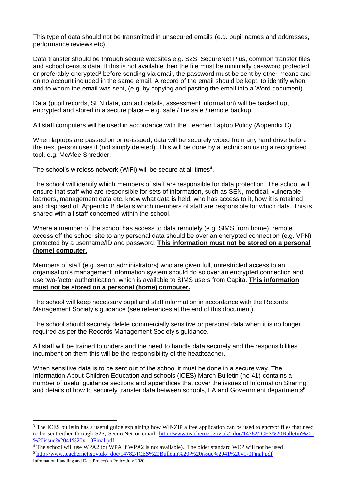This type of data should not be transmitted in unsecured emails (e.g. pupil names and addresses, performance reviews etc).

Data transfer should be through secure websites e.g. S2S, SecureNet Plus, common transfer files and school census data. If this is not available then the file must be minimally password protected or preferably encrypted<sup>3</sup> before sending via email, the password must be sent by other means and on no account included in the same email. A record of the email should be kept, to identify when and to whom the email was sent, (e.g. by copying and pasting the email into a Word document).

Data (pupil records, SEN data, contact details, assessment information) will be backed up, encrypted and stored in a secure place – e.g. safe / fire safe / remote backup.

All staff computers will be used in accordance with the Teacher Laptop Policy (Appendix C)

When laptops are passed on or re-issued, data will be securely wiped from any hard drive before the next person uses it (not simply deleted). This will be done by a technician using a recognised tool, e.g. McAfee Shredder.

The school's wireless network (WiFi) will be secure at all times<sup>4</sup>.

The school will identify which members of staff are responsible for data protection. The school will ensure that staff who are responsible for sets of information, such as SEN, medical, vulnerable learners, management data etc. know what data is held, who has access to it, how it is retained and disposed of. Appendix B details which members of staff are responsible for which data. This is shared with all staff concerned within the school.

Where a member of the school has access to data remotely (e.g. SIMS from home), remote access off the school site to any personal data should be over an encrypted connection (e.g. VPN) protected by a username/ID and password. **This information must not be stored on a personal (home) computer.**

Members of staff (e.g. senior administrators) who are given full, unrestricted access to an organisation's management information system should do so over an encrypted connection and use two-factor authentication, which is available to SIMS users from Capita. **This information must not be stored on a personal (home) computer.**

The school will keep necessary pupil and staff information in accordance with the Records Management Society's guidance (see references at the end of this document).

The school should securely delete commercially sensitive or personal data when it is no longer required as per the Records Management Society's guidance.

All staff will be trained to understand the need to handle data securely and the responsibilities incumbent on them this will be the responsibility of the headteacher.

When sensitive data is to be sent out of the school it must be done in a secure way. The Information About Children Education and schools (ICES) March Bulletin (no 41) contains a number of useful guidance sections and appendices that cover the issues of Information Sharing and details of how to securely transfer data between schools, LA and Government departments<sup>5</sup>.

<sup>&</sup>lt;sup>3</sup> The ICES bulletin has a useful guide explaining how WINZIP a free application can be used to encrypt files that need to be sent either through S2S, SecureNet or email: [http://www.teachernet.gov.uk/\\_doc/14782/ICES%20Bulletin%20-](http://www.teachernet.gov.uk/_doc/14782/ICES%20Bulletin%20-%20issue%2041%20v1-0Final.pdf) [%20issue%2041%20v1-0Final.pdf](http://www.teachernet.gov.uk/_doc/14782/ICES%20Bulletin%20-%20issue%2041%20v1-0Final.pdf)

<sup>4</sup> The school will use WPA2 (or WPA if WPA2 is not available). The older standard WEP will not be used.

<sup>5</sup> [http://www.teachernet.gov.uk/\\_doc/14782/ICES%20Bulletin%20-%20issue%2041%20v1-0Final.pdf](http://www.teachernet.gov.uk/_doc/14782/ICES%20Bulletin%20-%20issue%2041%20v1-0Final.pdf)

Information Handling and Data Protection Policy July 2020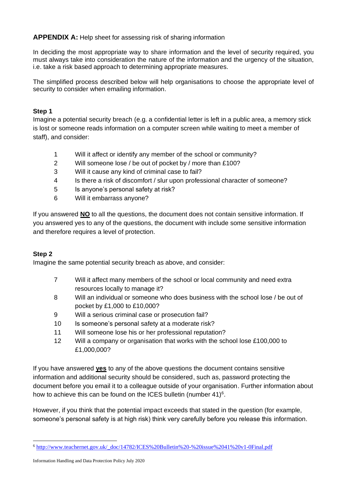**APPENDIX A:** Help sheet for assessing risk of sharing information

In deciding the most appropriate way to share information and the level of security required, you must always take into consideration the nature of the information and the urgency of the situation, i.e. take a risk based approach to determining appropriate measures.

The simplified process described below will help organisations to choose the appropriate level of security to consider when emailing information.

### **Step 1**

Imagine a potential security breach (e.g. a confidential letter is left in a public area, a memory stick is lost or someone reads information on a computer screen while waiting to meet a member of staff), and consider:

- 1 Will it affect or identify any member of the school or community?
- 2 Will someone lose / be out of pocket by / more than £100?
- 3 Will it cause any kind of criminal case to fail?
- 4 Is there a risk of discomfort / slur upon professional character of someone?
- 5 Is anyone's personal safety at risk?
- 6 Will it embarrass anyone?

If you answered **NO** to all the questions, the document does not contain sensitive information. If you answered yes to any of the questions, the document with include some sensitive information and therefore requires a level of protection.

### **Step 2**

Imagine the same potential security breach as above, and consider:

- 7 Will it affect many members of the school or local community and need extra resources locally to manage it?
- 8 Will an individual or someone who does business with the school lose / be out of pocket by £1,000 to £10,000?
- 9 Will a serious criminal case or prosecution fail?
- 10 Is someone's personal safety at a moderate risk?
- 11 Will someone lose his or her professional reputation?
- 12 Will a company or organisation that works with the school lose £100,000 to £1,000,000?

If you have answered **yes** to any of the above questions the document contains sensitive information and additional security should be considered, such as, password protecting the document before you email it to a colleague outside of your organisation. Further information about how to achieve this can be found on the ICES bulletin (number 41) $6$ .

However, if you think that the potential impact exceeds that stated in the question (for example, someone's personal safety is at high risk) think very carefully before you release this information.

<sup>6</sup> [http://www.teachernet.gov.uk/\\_doc/14782/ICES%20Bulletin%20-%20issue%2041%20v1-0Final.pdf](http://www.teachernet.gov.uk/_doc/14782/ICES%20Bulletin%20-%20issue%2041%20v1-0Final.pdf)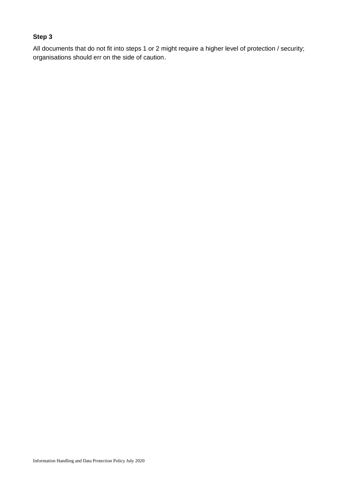# **Step 3**

All documents that do not fit into steps 1 or 2 might require a higher level of protection / security; organisations should err on the side of caution.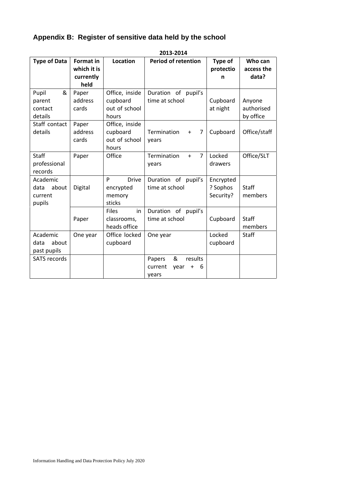# **Appendix B: Register of sensitive data held by the school**

| ZU13-ZU14           |                                 |                    |                                      |                      |                       |
|---------------------|---------------------------------|--------------------|--------------------------------------|----------------------|-----------------------|
| <b>Type of Data</b> | <b>Format in</b><br>which it is | <b>Location</b>    | <b>Period of retention</b>           | Type of<br>protectio | Who can<br>access the |
|                     | currently                       |                    |                                      | n                    | data?                 |
|                     | held                            |                    |                                      |                      |                       |
| &<br>Pupil          | Paper                           | Office, inside     | Duration of pupil's                  |                      |                       |
| parent              | address                         | cupboard           | time at school                       | Cupboard             | Anyone                |
| contact             | cards                           | out of school      |                                      | at night             | authorised            |
| details             |                                 | hours              |                                      |                      | by office             |
| Staff contact       | Paper                           | Office, inside     |                                      |                      |                       |
| details             | address                         | cupboard           | Termination<br>7<br>$\ddot{}$        | Cupboard             | Office/staff          |
|                     | cards                           | out of school      | years                                |                      |                       |
|                     |                                 | hours              |                                      |                      |                       |
| <b>Staff</b>        | Paper                           | Office             | $\overline{7}$<br>Termination<br>$+$ | Locked               | Office/SLT            |
| professional        |                                 |                    | years                                | drawers              |                       |
| records             |                                 |                    |                                      |                      |                       |
| Academic            |                                 | P<br><b>Drive</b>  | Duration of<br>pupil's               | Encrypted            |                       |
| about<br>data       | Digital                         | encrypted          | time at school                       | ? Sophos             | Staff                 |
| current             |                                 | memory             |                                      | Security?            | members               |
| pupils              |                                 | sticks             |                                      |                      |                       |
|                     |                                 | <b>Files</b><br>in | Duration of<br>pupil's               |                      |                       |
|                     | Paper                           | classrooms,        | time at school                       | Cupboard             | Staff                 |
|                     |                                 | heads office       |                                      |                      | members               |
| Academic            | One year                        | Office locked      | One year                             | Locked               | Staff                 |
| about<br>data       |                                 | cupboard           |                                      | cupboard             |                       |
| past pupils         |                                 |                    |                                      |                      |                       |
| <b>SATS records</b> |                                 |                    | &<br>results<br>Papers               |                      |                       |
|                     |                                 |                    | current<br>6<br>year<br>$\ddot{}$    |                      |                       |
|                     |                                 |                    | years                                |                      |                       |

### **2013-2014**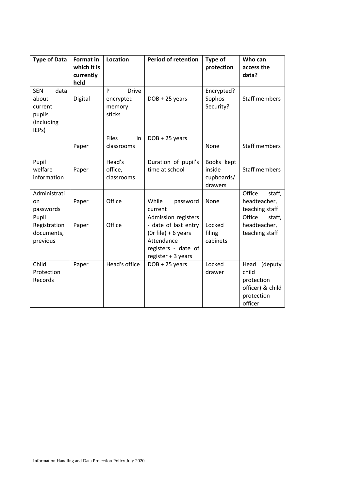| <b>Type of Data</b>                                                     | <b>Format in</b><br>which it is<br>currently<br>held | <b>Location</b>                                    | <b>Period of retention</b>                                                                                                    | Type of<br>protection                         | Who can<br>access the<br>data?                                                      |
|-------------------------------------------------------------------------|------------------------------------------------------|----------------------------------------------------|-------------------------------------------------------------------------------------------------------------------------------|-----------------------------------------------|-------------------------------------------------------------------------------------|
| <b>SEN</b><br>data<br>about<br>current<br>pupils<br>(including<br>IEPs) | Digital                                              | P<br><b>Drive</b><br>encrypted<br>memory<br>sticks | $DOB + 25$ years                                                                                                              | Encrypted?<br>Sophos<br>Security?             | <b>Staff members</b>                                                                |
|                                                                         | Paper                                                | <b>Files</b><br>in<br>classrooms                   | $DOB + 25$ years                                                                                                              | None                                          | Staff members                                                                       |
| Pupil<br>welfare<br>information                                         | Paper                                                | Head's<br>office,<br>classrooms                    | Duration of pupil's<br>time at school                                                                                         | Books kept<br>inside<br>cupboards/<br>drawers | <b>Staff members</b>                                                                |
| Administrati<br>on<br>passwords                                         | Paper                                                | Office                                             | While<br>password<br>current                                                                                                  | None                                          | Office<br>staff,<br>headteacher,<br>teaching staff                                  |
| Pupil<br>Registration<br>documents,<br>previous                         | Paper                                                | Office                                             | Admission registers<br>- date of last entry<br>(Or file) + 6 years<br>Attendance<br>registers - date of<br>register + 3 years | Locked<br>filing<br>cabinets                  | Office<br>staff,<br>headteacher,<br>teaching staff                                  |
| Child<br>Protection<br>Records                                          | Paper                                                | Head's office                                      | DOB + 25 years                                                                                                                | Locked<br>drawer                              | (deputy<br>Head<br>child<br>protection<br>officer) & child<br>protection<br>officer |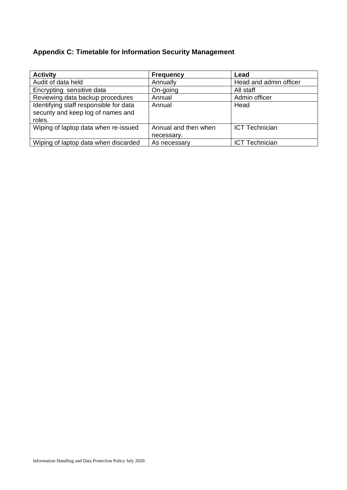# **Appendix C: Timetable for Information Security Management**

| <b>Activity</b>                        | <b>Frequency</b>     | Lead                   |  |
|----------------------------------------|----------------------|------------------------|--|
| Audit of data held                     | Annually             | Head and admin officer |  |
| Encrypting sensitive data              | On-going             | All staff              |  |
| Reviewing data backup procedures       | Annual               | Admin officer          |  |
| Identifying staff responsible for data | Annual               | Head                   |  |
| security and keep log of names and     |                      |                        |  |
| roles.                                 |                      |                        |  |
| Wiping of laptop data when re-issued   | Annual and then when | <b>ICT Technician</b>  |  |
|                                        | necessary.           |                        |  |
| Wiping of laptop data when discarded   | As necessary         | <b>ICT Technician</b>  |  |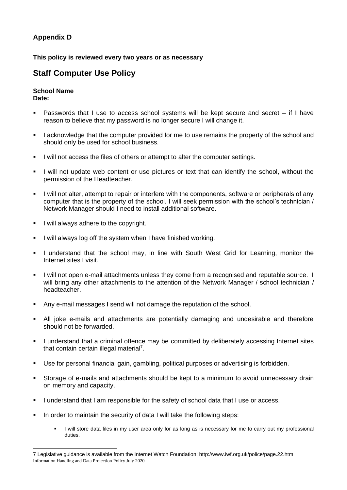# **Appendix D**

### **This policy is reviewed every two years or as necessary**

# **Staff Computer Use Policy**

#### **School Name Date:**

- Passwords that I use to access school systems will be kept secure and secret if I have reason to believe that my password is no longer secure I will change it.
- **EXECT** 1 acknowledge that the computer provided for me to use remains the property of the school and should only be used for school business.
- I will not access the files of others or attempt to alter the computer settings.
- I will not update web content or use pictures or text that can identify the school, without the permission of the Headteacher.
- **.** I will not alter, attempt to repair or interfere with the components, software or peripherals of any computer that is the property of the school. I will seek permission with the school's technician / Network Manager should I need to install additional software.
- **•** I will always adhere to the copyright.
- **.** I will always log off the system when I have finished working.
- I understand that the school may, in line with South West Grid for Learning, monitor the Internet sites I visit.
- I will not open e-mail attachments unless they come from a recognised and reputable source. I will bring any other attachments to the attention of the Network Manager / school technician / headteacher.
- Any e-mail messages I send will not damage the reputation of the school.
- All joke e-mails and attachments are potentially damaging and undesirable and therefore should not be forwarded.
- I understand that a criminal offence may be committed by deliberately accessing Internet sites that contain certain illegal material<sup>7</sup>.
- Use for personal financial gain, gambling, political purposes or advertising is forbidden.
- **EXT** Storage of e-mails and attachments should be kept to a minimum to avoid unnecessary drain on memory and capacity.
- I understand that I am responsible for the safety of school data that I use or access.
- In order to maintain the security of data I will take the following steps:
	- I will store data files in my user area only for as long as is necessary for me to carry out my professional duties.

Information Handling and Data Protection Policy July 2020 7 Legislative guidance is available from the Internet Watch Foundation: http://www.iwf.org.uk/police/page.22.htm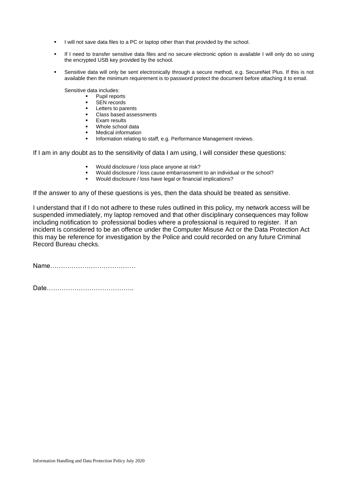- I will not save data files to a PC or laptop other than that provided by the school.
- If I need to transfer sensitive data files and no secure electronic option is available I will only do so using the encrypted USB key provided by the school.
- Sensitive data will only be sent electronically through a secure method, e.g. SecureNet Plus. If this is not available then the minimum requirement is to password protect the document before attaching it to email.

Sensitive data includes:

- Pupil reports
- SEN records
- Letters to parents
- Class based assessments
- **Exam results**
- Whole school data
- **Medical information**
- Information relating to staff, e.g. Performance Management reviews.

If I am in any doubt as to the sensitivity of data I am using, I will consider these questions:

- Would disclosure / loss place anyone at risk?
- Would disclosure / loss cause embarrassment to an individual or the school?
- Would disclosure / loss have legal or financial implications?

If the answer to any of these questions is yes, then the data should be treated as sensitive.

I understand that if I do not adhere to these rules outlined in this policy, my network access will be suspended immediately, my laptop removed and that other disciplinary consequences may follow including notification to professional bodies where a professional is required to register. If an incident is considered to be an offence under the Computer Misuse Act or the Data Protection Act this may be reference for investigation by the Police and could recorded on any future Criminal Record Bureau checks.

Name………………………………….

Date…………………………………..